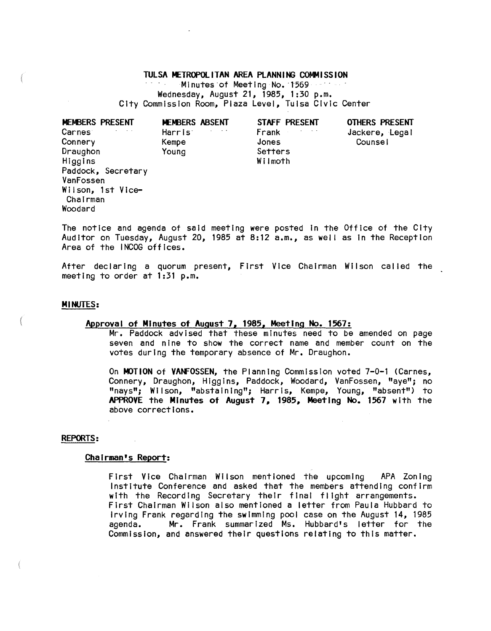# TULSA METROPOLITAN AREA PLANNING COMMISSION

Minutes of Meeting No. 1569 . . . . . Wednesday, August 21, 1985, 1:30 p.m. City Commission Room, Plaza Level, Tulsa Civic Center

| MEMBERS PRESENT    | MEMBERS ABSENT                                    | STAFF PRESENT | <b>OTHERS PRESENT</b> |
|--------------------|---------------------------------------------------|---------------|-----------------------|
| Carnes             | $\sim$ 100 $\pm$ 100 $\pm$<br>Harris <sup>®</sup> | Frank         | Jackere, Legal        |
| Connery            | Kempe                                             | Jones         | Counse!               |
| Draughon           | Young                                             | Setters       |                       |
| Higgins            |                                                   | Wilmoth       |                       |
| Paddock, Secretary |                                                   |               |                       |
| VanFossen          |                                                   |               |                       |
| Wilson, 1st Vice-  |                                                   |               |                       |
| Chairman           |                                                   |               |                       |
| Woodard            |                                                   |               |                       |
|                    |                                                   |               |                       |

The notice and agenda of said meeting were posted In the Office of the City Auditor on Tuesday, August 20, 1985 at 8:12  $a.m.$ , as well as in the Reception Area of the INCOG offices.

After declaring a quorum present, First Vice Chairman Wilson called the meeting to order at 1:31 p.m.

# MINUTES:

# Approval of Minutes of August 7, 1985, Meeting No. 1567:

Mr. Paddock advised that these minutes need to be amended on page seven and nine to show the correct name and member count on the votes during the temporary absence of Mr. Draughon.

On MOTION of VANFOSSEN, the Planning Commission voted 7-0-1 (Carnes, Connery, Draughon, Higgins, Paddock, Woodard, VanFossen, "aye"; no "nays"; Wilson, "abstaining"; Harris, Kempe, Young, "absent") to APPROVE the Minutes of August 7, 1985, Meeting No. 1567 with the above corrections.

#### REPORTS:

### Chairman's Report:

First Vice Chairman Wilson mentioned the upcoming APA Zoning Institute Conference and asked that the members attending confirm with the Recording Secretary their final flight arrangements. First Chairman Wilson also mentioned a letter from Paula Hubbard to Irving Frank regarding the swimming pool case on the August 14, 1985 agenda. Mr. Frank summarized Ms. Hubbard's letter for the Commission, and answered their questions relating to this matter.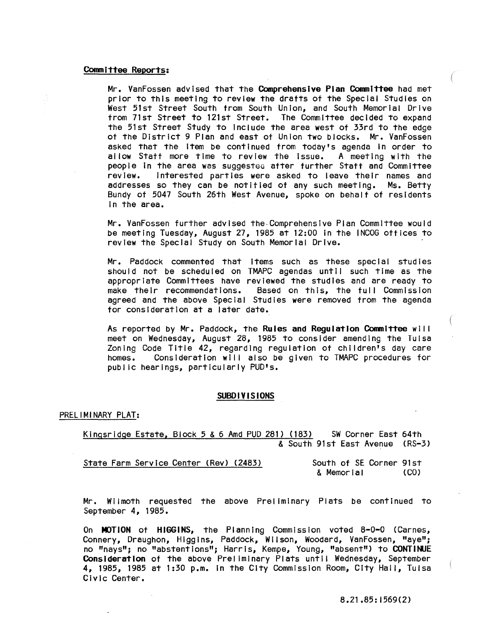#### Committee Reports:

Mr. VanFossen advised that the Comprehensive Plan COmmittee had met prior to this meeting to review the drafts of the Special Studies on West 51st Street South from South Union, and South Memorial Drive from 71st Street to 121st Street. The Committee decided to expand the 51st Street Study to Include the area west of 33rd to the edge of the District 9 Plan and east of Union two blocks. Mr. VanFossen asked that the Item be continued from today's agenda in order to<br>allow Staff more time to review the issue. A meeting with the allow Staff more time to review the issue. people In the area was suggesteo after further Staff and Committee review. Interested parties were asked to leave their names and addresses so they can be notified of any such meeting. Ms. Betty Bundy of 5047 South 26th West Avenue, spoke on behalf of residents In the area.

Mr. VanFossen further advised the· Comprehensive Plan Committee would be meeting Tuesday, August 27, 1985 at 12:00 In the INCOG offices to review the Special Study on South Memorial Drive.

Mr. Paddock commented that items such as these special studies should not be scheduled on TMAPC agendas until such time as the appropriate Committees have reviewed the studies and are ready to make their recommendations. Based on this, the full Commission agreed and the above Special Studies were removed from the agenda for consideration at a later date.

As reported by Mr. Paddock, the Rules and Regulation Committee will meet on Wednesday, August 28, 1985 to consider amending the Tuisa Zoning Code Title 42, regarding regulation of children's day care homes. Consideration will also be given to TMAPC procedures for public hearings, particularly PUD's.

#### SUBDIVISIONS

#### PRELIMINARY PLAT:

Klngsrldge Estate, Block 5 & 6 Amd PUD 281) (183) SW Corner East 64th & South 91st East Avenue (RS-3)

| State Farm Service Center (Rev) (2483) | South of SE Corner 91st |      |
|----------------------------------------|-------------------------|------|
|                                        | & Memorial              | (CO) |

Mr. Wilmoth requested the above Preliminary Plats be continued to September 4, 1985.

On MOTION of HIGGINS, the Planning Commission voted 8-0-0 (Carnes, Connery, Draughon, Higgins, Paddock, Wilson, Woodard, VanFossen, "aye"; no "nays"; no "abstentions"; Harris, Kempe, Young, "absent") to CONTINUE Consideration of the above Preliminary Plats until Wednesday, September 4, 1985, 1985 at 1:30 p.m. In the City Commission Room, City Hall, Tulsa Civic Center.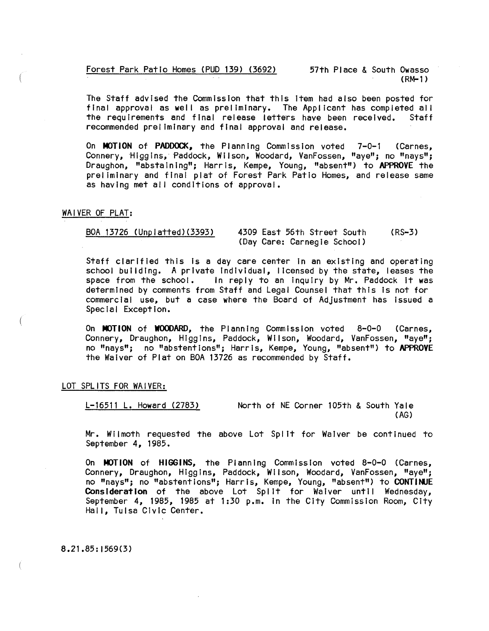Forest Park Patio Homes (PUD 139) (3692) 57th Place & South Owasso

(RM-1 )

The Staff advised the Commission that this Item had also been posted for final approval as well as preliminary. The Applicant has completed all the requirements and final release letters have been received. Staff recommended preliminary and final approval and release.

On MOTION of PADDOCK, the Planning Commission voted 7-0-1 (Carnes, Connery, Higgins, Paddock, Wilson, Woodard, VanFossen, "aye"; no "nays"; Draughon, "abstaining"; Harris, Kempe, Young, "absent") to APPROVE the preliminary and final plat of Forest Park Patio Homes, and release same as having met all conditions of approval.

# WAIVER OF PLAT:

BOA 13726 (Unplatted)(3393) 4309 East 56th Street South (Day Care: Carnegie School) (RS-3)

Staff clarified this Is a day care center In an existing and operating school building. A private individual, licensed by the state, leases the space from the school. In reply to an inquiry by Mr. Paddock it was In reply to an inquiry by Mr. Paddock it was determined by comments from Staff and Legal Counsel that this Is not for commercial use, but a case where the Board of Adjustment has issued a Special Exception.

On MOTION of WOODARD, the Planning Commission voted 8-0-0 (Carnes, Connery, Draughon, Higgins, Paddock, Wilson, Woodard, VanFossen, "aye"; no "nays"; no "abstentions"; Harris, Kempe, Young, "absent") to **APPROVE**  the Waiver of Plat on BOA 13726 as recommended by Staff.

LOT SPLITS FOR WAIVER:

L-16511 L. Howard (2783) North of NE Corner 105th & South Yale (AG)

Mr. Wilmoth requested the above Lot Split for Waiver be continued to September 4, 1985.

On MOTION of HIGGINS, the Planning Commission voted 8-0-0 (Carnes, Connery, Draughon, Higgins, Paddock, Wilson, Woodard, VanFossen, "aye"; no "nays"; no "abstentions"; Harris, Kempe, Young, "absent") to **CONTltlJE Consideration** of the above Lot Spl It for Waiver until Wednesday, September 4, 1985, 1985 at 1 :30 p.m. In the City Commission Room, City Hall, Tulsa Civic Center.

8.21.85: 1569(3)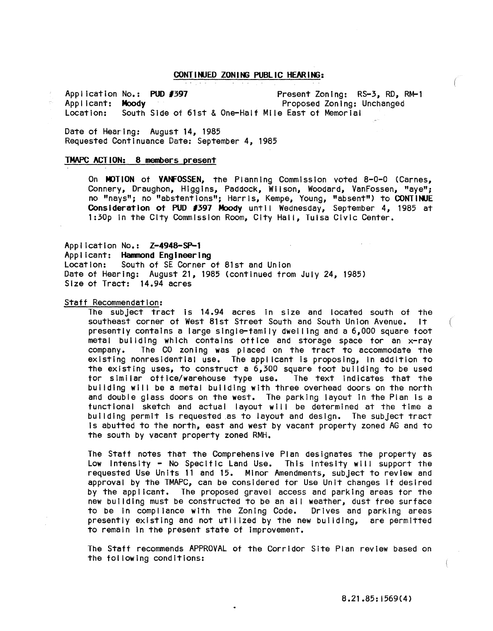# CONT I NUED ZON ING PUBL IC HEAR ING:

Application No.: PUD #397 Present Zoning: RS-3, RD, RM-1<br>Applicant: Moody Proposed Zoning: Unchanged Proposed Zoning: Unchanged Location: South Side of 61st & One-Half Mile East of Memorial

Date of Hearing: August 14, 1985 Requested Continuance Date: September 4, 1985

# TMAPC ACTION: 8 members present

On MOTION of VANFOSSEN, the Planning Commission voted 8-0-0 (Carnes, Connery, Draughon, Higgins, Paddock, Wiison, Woodard, VanFossen, "aye"; no "nays"; no "abstentions"; Harris, Kempe, Young, "absent") to CONTINUE Consideration of PUD #397 Moody until Wednesday, September 4, 1985 at 1:30p In the City Commission Room, City Hall, Tulsa Civic Center.

Application No.: Z-4948-SP-l

Applicant: Hammond Engineering Location: South of SE Corner of 81st and Union Date of Hearing: August 21, 1985 (continued from July 24, 1985) Size of Tract: 14.94 acres

#### Staff Recommendation:

The subject tract Is 14.94 acres In size and located south of the southeast corner of West 81st Street South and South Union Avenue. It presently contains a large single-family dwel ling and a 6,000 square foot metal building which contains office and storage space for an x-ray company. The CO zoning was placed on the tract to accommodate the existing nonresidential use. The applicant Is proposing, In addition to the existing uses, to construct a 6,300 square foot building to be used for similar office/warehouse type use. The text Indicates that the building will be a metal building with three overhead doors on the north and double glass doors on the west. The parking layout In the Plan Is a functional sketch and actual layout will be determined at the time a building permit Is requested as to layout and design. The subject tract Is abutted to the north, east and west by vacant property zoned AG and to the south by vacant property zoned RMH.

The Staff notes that the Comprehensive Plan designates the property as Low Intensity - No Specific Land Use. This intesity will support the requested Use Units 11 and 15. Minor Amendments, subject to review and approval by the TMAPC, can be considered tor Use Unit changes If desired by the applicant. The proposed gravel access and parking areas tor the new building must be constructed to be an all weather, dust free surface to be in compliance with the Zoning Code. Drives and parking areas presently existing and not utilized by the new building, are permitted to remain In the present state of Improvement.

The Staff recommends APPROVAL of the Corridor Site Plan review based on the fol lowing conditions: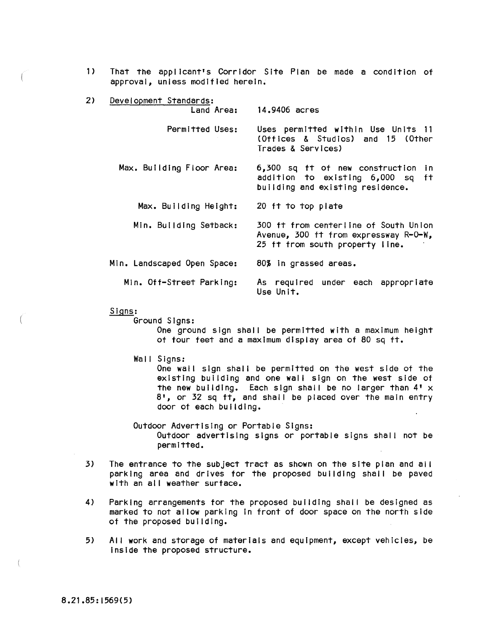1) That the applicant's Corridor Site Plan be made a condition of approval, unless modified herein.

| 2) | Development Standards:      |                                                                                                                   |
|----|-----------------------------|-------------------------------------------------------------------------------------------------------------------|
|    | Land Area:                  | 14,9406 acres                                                                                                     |
|    | Permitted Uses:             | Uses permitted within Use Units 11<br>(Offices & Studios) and 15 (Other<br>Trades & Services)                     |
|    | Max. Building Floor Area:   | 6,300 sq ft of new construction<br>in.<br>addition to existing 6,000 sq<br>ft<br>building and existing residence. |
|    | Max. Building Height:       | 20 ft to top plate                                                                                                |
|    | Min. Building Setback:      | 300 ft from centerline of South Union<br>Avenue, 300 ft from expressway R-0-W,<br>25 ft from south property line. |
|    | Min. Landscaped Open Space: | 80% in grassed areas.                                                                                             |
|    | Min. Off-Street Parking:    | As required under each appropriate<br>Use Unit.                                                                   |

Signs:

Ground Signs:

One ground sign shall be permitted with a maximum height of four feet and a maximum display area of 80 sq ft.

Wall Signs:

One wall sign shall be permitted on the west side of the existing building and one wall sign on the west side of the new building. Each sign shall be no larger than  $4' \times$ 8', or 32 sq ft, and shall be placed over the main entry door of each building.

Outdoor Advertising or Portable Signs: Outdoor advertising signs or portable signs shall not be permitted.

- 3) The entrance to the subject tract as shown on the site plan and all parking area and drives for the proposed building shall be paved with an all weather surface.
- 4) Parking arrangements for the proposed building shall be designed as marked to not allow parking In front of door space on the north side of the proposed building.
- 5) AI I work and storage of materials and equipment, except vehicles, be Inside the proposed structure.

 $\overline{1}$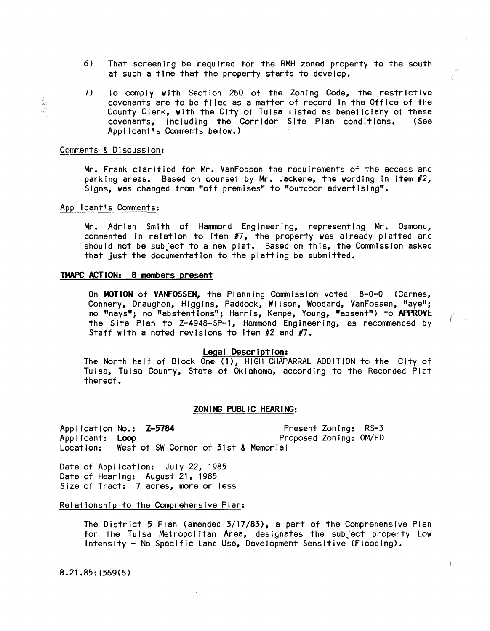- 6) That screening be required for the RMH zoned property to the south at such a time that the property starts to develop.
- 7) To comply with Section 260 of the Zoning Code, the restrictive covenants are to be filed as a matter of record In the Office of the County Clerk, with the City of Tulsa listed as beneficiary of these<br>covenants, including the Corridor Site Plan conditions, (See covenants, including the Corridor Site Plan conditions. Applicant's Comments below.)

### Comments & Discussion:

W

Mr. Frank clarified for Mr. VanFossen the requirements of the access and parking areas. Based on counsel by Mr. Jackere, the wording in item #2, Signs, was changed from "off premises" to "outdoor advertising".

# Applicant's Comments:

Mr. Adrian Smith of Hammond Engineering, representing Mr. Osmond, commented In relation to Item #7, the property was already platted and should not be subject to a new plat. Based on this, the Commission asked that Just the documentation to the platting be submitted.

# TMAPC ACTION: 8 members present

On MOTION of VANFOSSEN, the Planning Commission voted 8-0-0 (Carnes, Connery, Draughon, Higgins, Paddock, Wilson, Woodard, VanFossen, "aye"; no "nays"; no "abstentions"; Harris, Kempe, Young, "absent") to APPROVE the Site Plan to Z-4948-SP-1, Hammond Engineering, as recommended by Staff with a noted revisions to Item #2 and #7.

# legal Description:

The North half of Block One (1), HIGH CHAPARRAL ADDITION to the City of Tulsa, Tulsa County, State of Oklahoma, according to the Recorded Plat thereof.

# ZONING PUBLIC HEARING:

Application No.: Z-5784 Present Zoning: RS-3 Applicant: Loop Proposed Zoning: OM/FD Location: West of SW Corner of 31st & Memorial

Date of Application: July 22, 1985 Date of Hearing: August 21, 1985 Size of Tract: 7 acres, more or less

#### Relationship to the Comprehensive Plan:

The District 5 Plan (amended 3/17/83), a part of the Comprehensive Plan for the Tulsa Metropolitan Area, designates the subject property Low Intensity - No Specific Land Use, Development Sensitive (Flooding).

8.21.85: 1569(6)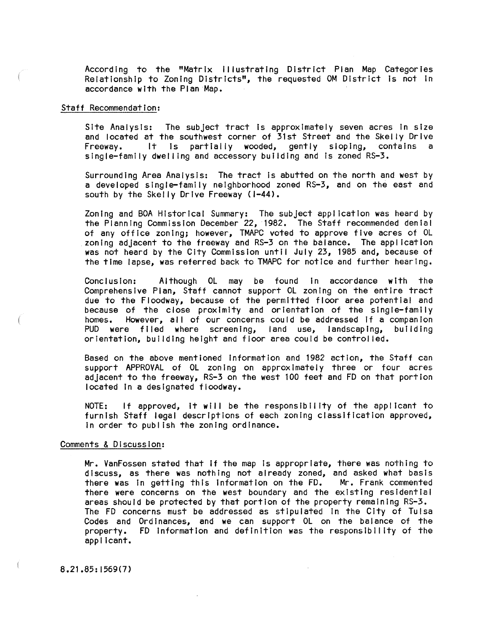According to the "Matrix Illustrating District Plan Map Categories Relationship to Zoning Districts", the requested OM District Is not In accordance with the Plan Map.

# Staff Recommendation:

Site Analysis: The subject tract is approximately seven acres in size and located at the southwest corner of 31st Street and the Skelly Drive Freeway. It is partially wooded, gently sloping, contains a single-family dwel ling and accessory building and Is zoned RS-3.

Surrounding Area Analysis: The tract Is abutted on the north and west by a developed single-family neighborhood zoned RS-3, and on the east and south by the Skelly Drive Freeway (1-44).

Zoning and BOA Historical Summary: The subject application was heard by the Planning Commission December 22, 1982. The Staff recommended denial of any office zoning; however, TMAPC voted to approve five acres of OL zoning adjacent to the freeway and RS-3 on the balance. The application was not heard by the City Commission until July 23, 1985 and, because of the time lapse, was referred back to TMAPC for notice and further hearing.

Conclusion: Aithough OL may be found in accordance with the Comprehensive Plan, Staff cannot support OL zoning on the entire tract due to the Floodway, because of the permitted floor area potential and because of the close proximity and orientation of the single-family homes. However, all of our concerns could be addressed If a companion PUD were filed where screening, land use, landscaping, building orientation, building height and floor area could be control led.

Based on the above mentioned Information and 1982 action, the Staff can support APPROVAL of OL zoning on approximately three or four acres adjacent to the freeway, RS-3 on the west 100 feet and FD on that portion located In a designated floodway.

NOTE: If approved, it will be the responsibility of the applicant to furnish Staff legal descriptions of each zoning classification approved, In order to publ Ish the zoning ordinance.

# Comments & Discussion:

Mr. VanFossen stated that If the map Is appropriate, there was nothing to discuss, as there was nothing not already zoned, and asked what basis there was In getting this Information on the FD. Mr. Frank commented there were concerns on the west boundary and the existing residential areas should be protected by that portion of the property remaining RS-3. The FD concerns must be addressed as stipulated in the City of Tulsa Codes and Ordinances, and we can support OL on the balance of the property. FD Information and definition was the responsibility of the applicant.

8.21.85: 1569(7)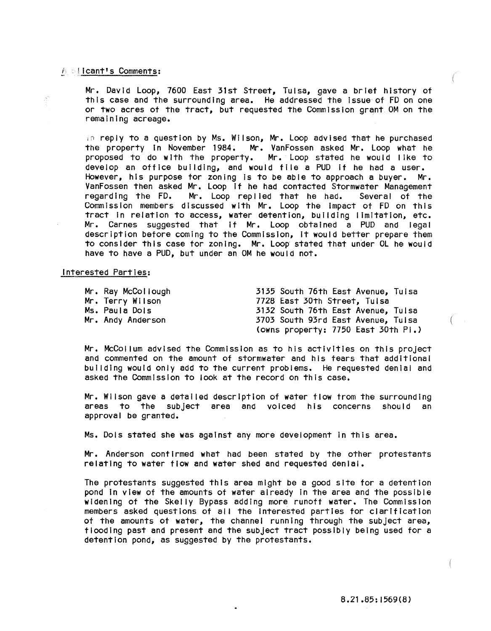# A **slicant's Comments:**

Mr. David Loop, 7600 East 31st Street, Tulsa, gave a brief history of this case and the surrounding area. He addressed the Issue of FD on one or two acres of the tract, but requested the Commission grant OM on the remaining acreage.

in reply to a question by Ms. Wilson, Mr. Loop advised that he purchased the property in November 1984. Mr. VanFossen asked Mr. Loop what he proposed to do with the property. Mr. Loop stated he would like to develop an office building, and would file a PUD if he had a user. However, his purpose for zoning Is to be able to approach a buyer. Mr. VanFossen then asked Mr. Loop If he had contacted Stormwater Management regarding the FD. Mr. Loop replied that he had. Several of the Commission members discussed with Mr. Loop the Impact of FD on this tract In relation to access, water detention, building limitation, etc. Mr. Carnes suggested that If Mr. Loop obtained a PUD and legal description before coming to the Commission, It would better prepare them to consider this case for zoning. Mr. Loop stated that under OL he would have to have a PUD, but under an OM he would not.

### Interested Parties:

| Mr. Ray McCollough | 3135 South 76th East Avenue, Tulsa  |
|--------------------|-------------------------------------|
| Mr. Terry Wilson   | 7728 East 30th Street, Tulsa        |
| Ms. Paula Dols     | 3132 South 76th East Avenue, Tulsa  |
| Mr. Andy Anderson  | 3703 South 93rd East Avenue, Tulsa  |
|                    | (owns property: 7750 East 30th Pi.) |

Mr. McCollum advised the Commission as to his activities on this project and commented on the amount of stormwater and his fears that additional building would only add to the current problems. He requested denial and asked the Commission to look at the record on this case.

Mr. Wilson gave a detailed description of water flow from the surrounding areas to the subject area and voiced his concerns should an approval be granted.

Ms. Dols stated she was against any more development In this area.

Mr. Anderson confirmed what had been stated by the other protestants relating to water flow and water shed and requested denial.

The protestants suggested this area might be a good site for a detention pond In view of the amounts of water already In the area and the possible widening of the Skelly Bypass adding more runoff water. The Commission members asked questions of all the Interested parties for clarification of the amounts of water, the channel running through the subject area, flooding past and present and the subject tract possibly being used for a detention pond, as suggested by the protestants.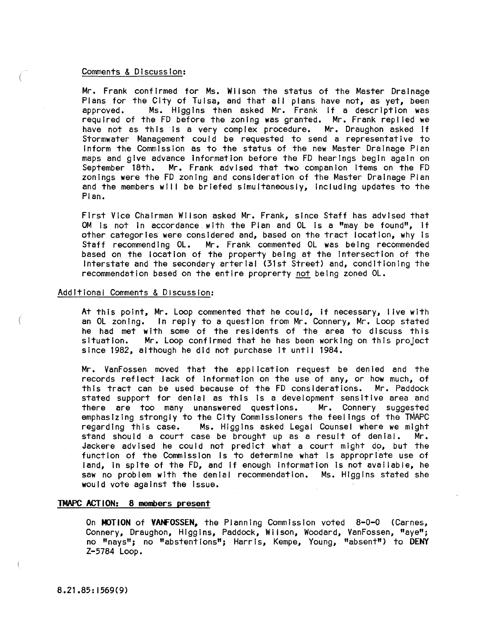# Comments & Discussion:

Mr. Frank confirmed for Ms. Wilson the status of the Master Drainage Plans for the City of Tulsa, and that all plans have not, as yet, been approved. Ms. Higgins then asked Mr. Frank if a description was required of the FD before the zoning was granted. Mr. Frank repl led we required or the ru betore the zoning was granted. Mr. rrank replied we<br>have not as this is a very complex procedure. Mr. Draughon asked if Stormwater Management could be requested to send a representative to Inform the Commission as to the status of the new Master Drainage Plan maps and give advance Information before the FD hearings begin again on September 18th. Mr. Frank advised that two companion Items on the FD zonlngs were the FD zoning and consideration of the Master Drainage Plan and the members will be briefed simultaneously, including updates to the Plan.

First Vice Chairman Wilson asked Mr. Frank, since Staff has advised that OM is not in accordance with the Plan and OL is a "may be found", if other categories were considered and, based on the tract location, why Is Staff recommending OL. Mr. Frank commented OL was being recommended based on the location of the property being at the Intersection of the Interstate and the secondary arterial (31st Street) and, conditioning the recommendation based on the entire proprerty not being zoned  $OL$ .

# Additional Comments & Discussion:

At this point, Mr. Loop commented that he could, If necessary, live with an OL zoning. In reply to a question from Mr. Connery, Mr. Loop stated he had met with some of the residents of the area to discuss this situation. Mr. Loop confirmed that he has been working on this project since 1982, although he did not purchase It until 1984.

Mr. VanFossen moved that the application request be denied and the records reflect lack of Information on the use of any, or how much, of this tract can be used because of the FD considerations. Mr. Paddock stated support for denial as this is a development sensitive area and<br>there are too many unanswered questions. Mr. Connery suggested there are too many unanswered questions. emphasizing strongly to the City Commissioners the feelings of the TMAPC regarding this case. Ms. Higgins asked Legal Counsel where we might stand should a court case be brought up as a result of denial. Mr. Jackere advised he could not predict what a court might do, but the function of the Commission Is to determine what Is appropriate use of land, In spite of the FD, and If enough Information Is not available, he saw no problem with the denial recommendation. Ms. Higgins stated she would vote against the Issue.

#### **TMAPC ACTION: 8** members **present**

On **MOTION of VANFOSSEN,** the Planning Commission voted 8-0-0 (Carnes, Connery, Draughon, Higgins, Paddock, Wilson, Woodard, VanFossen, "aye"; no "nays"; no "abstentions"; HarriS, Kempe, Young, "absent") to **DENY**  Z-5784 Loop.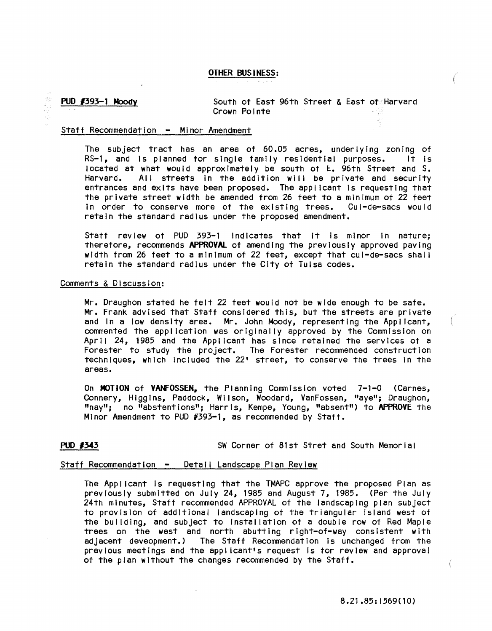# OTHER BUS I NESS:

**PUD #393-1 Moody** South of East 96th Street & East of Harvard Crown Pointe

# Staff Recommendation - Minor Amendment

The subject tract has an area of  $60.05$  acres, underlying zoning of RS-1, and Is planned for single family residential purposes. It Is located at what would approximately be south of E. 96th Street and S. Harvard. All streets In the addition will be private and security entrances and exits have been proposed. The applicant Is requesting that the private street width be amended from 26 teet to a minimum of 22 feet In order to conserve more of the existing trees. Cul-de-sacs would retain the standard radius under the proposed amendment.

Staff review of PUD 393-1 Indicates that It Is minor In nature; therefore, recommends APPROVAL of amending the previously approved paving width from 26 feet to a minimum of 22 feet, except that cul-de-sacs shal I retain the standard radius under the City of Tulsa codes.

### Comments & Discussion:

Mr. Draughon stated he felt 22 feet would not be wide enough to be safe. Mr. Frank advised that Staff considered this, but the streets are private and in a low density area. Mr. John Moody, representing the Applicant, commented the application was originally approved by the Commission on April 24, 1985 and the Applicant has since retained the services of a Forester to study the project. The Forester recommended construct Ion techniques, which Included the 22' street, to conserve the trees In the areas.

On MOTION of VANFOSSEN, the Planning Commission voted 7-1-0 (Carnes, Connery, Higgins, Paddock, Wilson, Woodard, VanFossen, "aye"; Draughon, "nay"; no "abstentions"; Harris, Kempe, Young, "absent") to APPROVE the Minor Amendment to PUD #393-1, as recommended by Staff.

**PUD #343 SW Corner of 81st Stret and South Memorial** 

# Staff Recommendation - Detail Landscape Plan Review

The Applicant Is requesting that the TMAPC approve the proposed Plan as previously submitted on July 24, 1985 and August 7, 1985. (Per the July 24th minutes, Staff recommended APPROVAL of the landscaping plan subject to provision of additional landscaping ot the triangular Island west of the building, and subject to Installation of a double row of Red Maple trees on the west and north abutting right-of-way consistent with adjacent deveopment.) The Staff Recommendation Is unchanged from the previous meetings and the applicant's request Is for review and approval of the plan without the changes recommended by the Staff.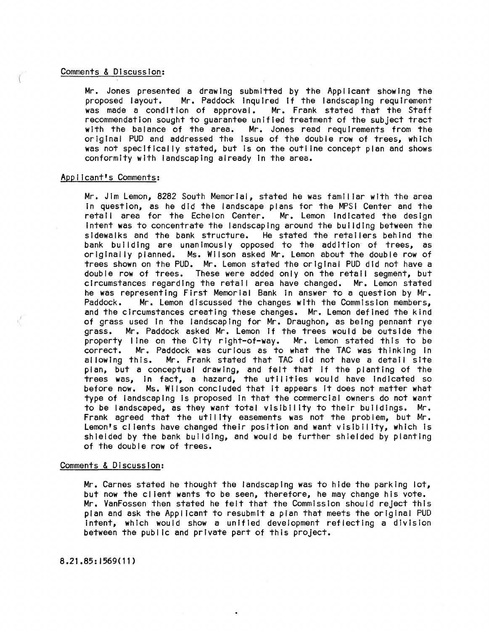# Comments & Discussion:

Mr. Jones presented a drawing submitted by the Applicant showing the proposed layout. Mr. Paddock inquired if the landscaping requirement Mr. Paddock inquired if the landscaping requirement was made a condition of approval. Mr. Frank stated that the Staff recommendation sought to guarantee unified treatment of the subject tract<br>with the balance of the area. Mr. Jones read requirements from the Mr. Jones read requirements from the original PUD and addressed the Issue of the double row of trees, which was not specifically stated, but Is on the outline concept plan and shows conformity with landscaping already In the area.

# Applicant's Comments:

Mr. Jim Lemon, 8282 South Memorial, stated he was familiar with the area In question, as he did the landscape plans for the MPSI Center and the retall area for the Echelon Center. Mr. Lemon indicated the design Intent was to concentrate the landscaping around the building between the sidewalks and the bank structure. He stated the retailers behind the bank building are unanimously opposed to the addition of trees, as originally planned. Ms. Wilson asked Mr. Lemon about the double row of trees shown on the PUD. Mr. Lemon stated the original PUD did not have a double row of trees. These were added only on the retail segment, but circumstances regarding the retail area have changed. Mr. Lemon stated he was representing First Memorial Bank In answer to a question by Mr. Paddock. Mr. Lemon discussed the changes with the Commission members, and the circumstances creating these changes. Mr. Lemon defined the kind of grass used In the landscaping for Mr. Draughon, as being pennant rye grass. Mr. Paddock asked Mr. Lemon if the trees would be outside the<br>property line on the City right-of-way. Mr. Lemon stated this to be property line on the City right-of-way. correct. Mr. Paddock was curious as to what the TAC was thinking in allowing this. Mr. Frank stated that TAC did not have a detail site plan, but a conceptual drawing, and felt that if the planting of the trees was, In fact, a hazard, the utilities would have Indicated so before now. Ms. Wilson concluded that It appears It does not matter what type of landscaping Is proposed In that the commercial owners do not want to be landscaped, as they want total visibility to their buildings. Mr. Frank agreed that the utility easements was not the problem, but Mr. Lemon's clients have changed their position and want visibility, which is shielded by the bank building, and would be further shielded by planting of the double row of trees.

# Comments & Discussion:

Mr. Carnes stated he thought the landscaping was to hide the parking lot, but now the cl lent wants to be seen, therefore, he may change his vote. Mr. VanFossen then stated he felt that the Commission should reject this plan and ask the Applicant to resubmit a plan that meets the original PUD Intent, which would show a unified development reflecting a division between the public and private part of this project.

8.21.85:1569(11)